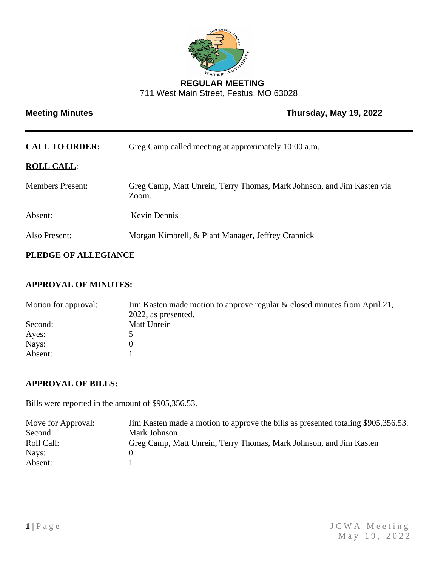

### **REGULAR MEETING** 711 West Main Street, Festus, MO 63028

# **Meeting Minutes Contract Contract Contract Contract Contract Contract Contract Contract Contract Contract Contract Contract Contract Contract Contract Contract Contract Contract Contract Contract Contract Contract Contrac**

| <b>CALL TO ORDER:</b>   | Greg Camp called meeting at approximately 10:00 a.m.                            |
|-------------------------|---------------------------------------------------------------------------------|
| <b>ROLL CALL:</b>       |                                                                                 |
| <b>Members Present:</b> | Greg Camp, Matt Unrein, Terry Thomas, Mark Johnson, and Jim Kasten via<br>Zoom. |
| Absent:                 | <b>Kevin Dennis</b>                                                             |
| Also Present:           | Morgan Kimbrell, & Plant Manager, Jeffrey Crannick                              |
|                         |                                                                                 |

# **PLEDGE OF ALLEGIANCE**

# **APPROVAL OF MINUTES:**

| Motion for approval: | Jim Kasten made motion to approve regular $\&$ closed minutes from April 21, |
|----------------------|------------------------------------------------------------------------------|
|                      | 2022, as presented.                                                          |
| Second:              | Matt Unrein                                                                  |
| Ayes:                |                                                                              |
| Nays:                |                                                                              |
| Absent:              |                                                                              |

## **APPROVAL OF BILLS:**

Bills were reported in the amount of \$905,356.53.

| Move for Approval: | Jim Kasten made a motion to approve the bills as presented totaling \$905,356.53. |
|--------------------|-----------------------------------------------------------------------------------|
| Second:            | Mark Johnson                                                                      |
| Roll Call:         | Greg Camp, Matt Unrein, Terry Thomas, Mark Johnson, and Jim Kasten                |
| Nays:              |                                                                                   |
| Absent:            |                                                                                   |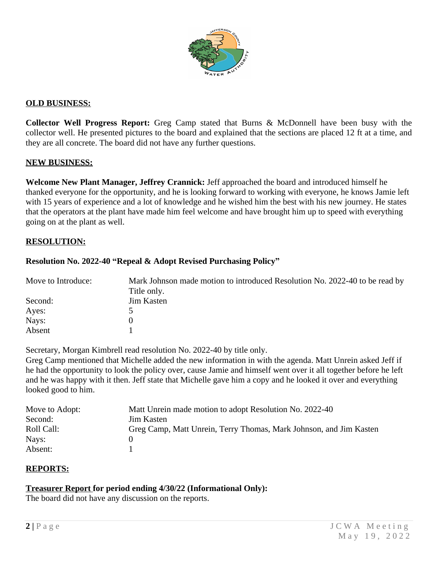

### **OLD BUSINESS:**

**Collector Well Progress Report:** Greg Camp stated that Burns & McDonnell have been busy with the collector well. He presented pictures to the board and explained that the sections are placed 12 ft at a time, and they are all concrete. The board did not have any further questions.

#### **NEW BUSINESS:**

**Welcome New Plant Manager, Jeffrey Crannick:** Jeff approached the board and introduced himself he thanked everyone for the opportunity, and he is looking forward to working with everyone, he knows Jamie left with 15 years of experience and a lot of knowledge and he wished him the best with his new journey. He states that the operators at the plant have made him feel welcome and have brought him up to speed with everything going on at the plant as well.

#### **RESOLUTION:**

#### **Resolution No. 2022-40 "Repeal & Adopt Revised Purchasing Policy"**

| Move to Introduce: | Mark Johnson made motion to introduced Resolution No. 2022-40 to be read by |
|--------------------|-----------------------------------------------------------------------------|
|                    | Title only.                                                                 |
| Second:            | <b>Jim Kasten</b>                                                           |
| Ayes:              |                                                                             |
| Nays:              |                                                                             |
| Absent             |                                                                             |

Secretary, Morgan Kimbrell read resolution No. 2022-40 by title only.

Greg Camp mentioned that Michelle added the new information in with the agenda. Matt Unrein asked Jeff if he had the opportunity to look the policy over, cause Jamie and himself went over it all together before he left and he was happy with it then. Jeff state that Michelle gave him a copy and he looked it over and everything looked good to him.

| Move to Adopt: | Matt Unrein made motion to adopt Resolution No. 2022-40            |
|----------------|--------------------------------------------------------------------|
| Second:        | Jim Kasten                                                         |
| Roll Call:     | Greg Camp, Matt Unrein, Terry Thomas, Mark Johnson, and Jim Kasten |
| Nays:          |                                                                    |
| Absent:        |                                                                    |

#### **REPORTS:**

#### **Treasurer Report for period ending 4/30/22 (Informational Only):**

The board did not have any discussion on the reports.